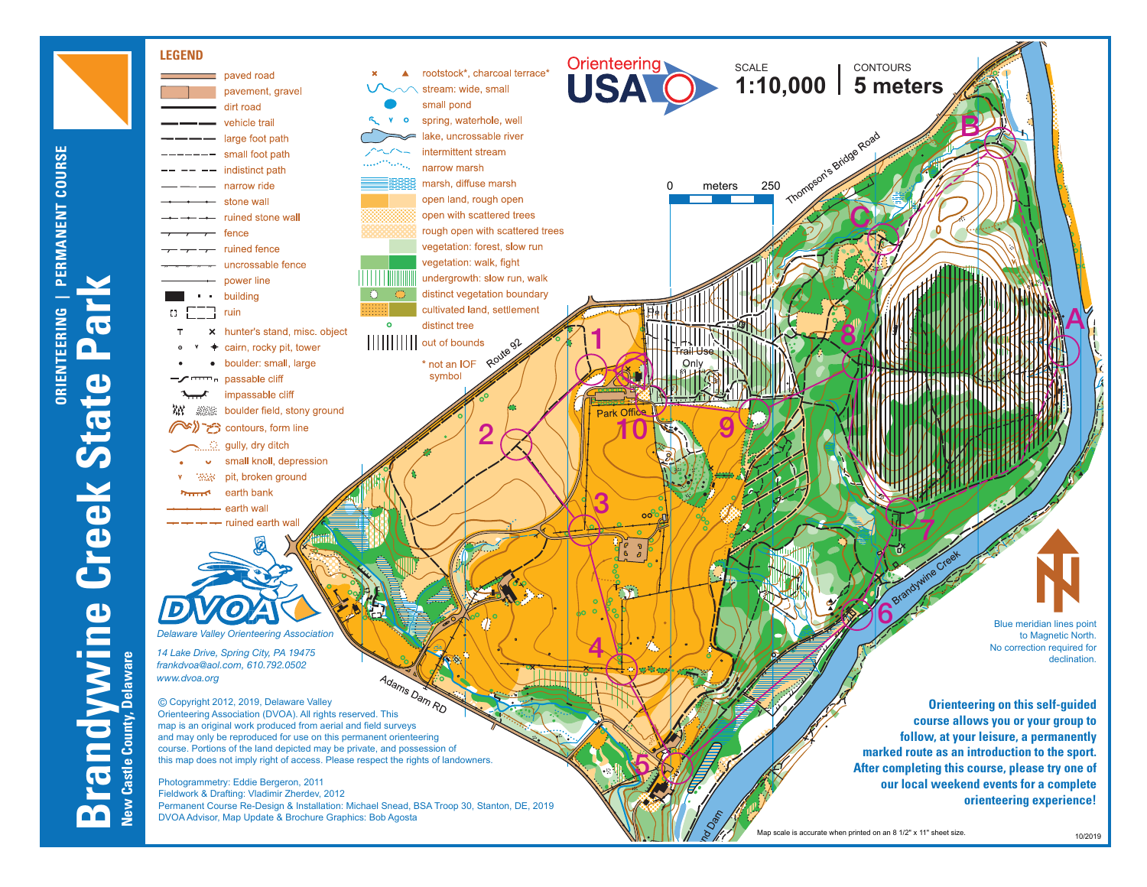

**ORIENTEERING | PERMANENT COURSE**

**ORIENTEERING** 

PERMANENT COURSE

Map scale is accurate when printed on an 8 1/2" x 11" sheet size

10/2019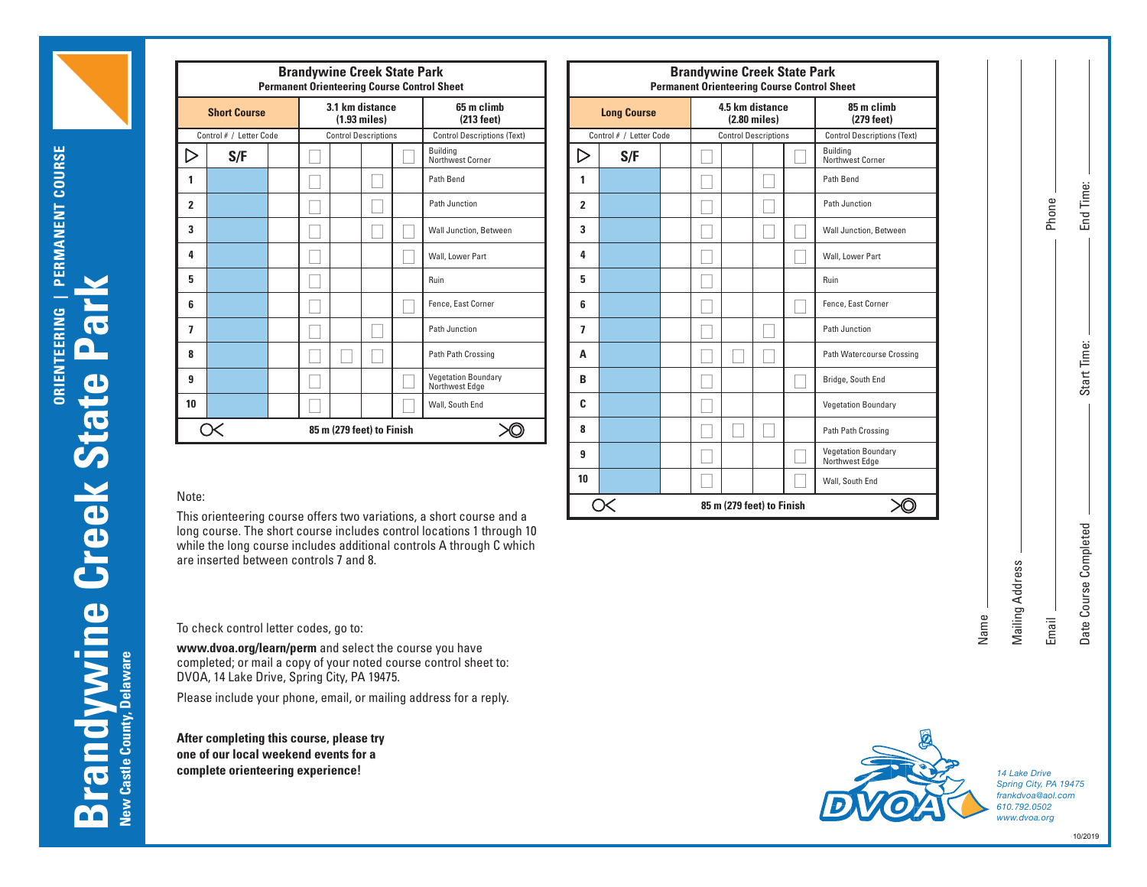| <b>Brandywine Creek State Park</b>                 |     |  |  |  |                                      |  |                                              |  |  |  |
|----------------------------------------------------|-----|--|--|--|--------------------------------------|--|----------------------------------------------|--|--|--|
| <b>Permanent Orienteering Course Control Sheet</b> |     |  |  |  |                                      |  |                                              |  |  |  |
| <b>Short Course</b>                                |     |  |  |  | 3.1 km distance<br>$(1.93$ miles $)$ |  | 65 m climb<br>(213 feet)                     |  |  |  |
| Control # / Letter Code                            |     |  |  |  | <b>Control Descriptions</b>          |  | <b>Control Descriptions (Text)</b>           |  |  |  |
|                                                    | S/F |  |  |  |                                      |  | <b>Building</b><br>Northwest Corner          |  |  |  |
| 1                                                  |     |  |  |  |                                      |  | Path Bend                                    |  |  |  |
| $\overline{2}$                                     |     |  |  |  |                                      |  | Path Junction                                |  |  |  |
| 3                                                  |     |  |  |  |                                      |  | Wall Junction, Between                       |  |  |  |
| 4                                                  |     |  |  |  |                                      |  | Wall, Lower Part                             |  |  |  |
| 5                                                  |     |  |  |  |                                      |  | Ruin                                         |  |  |  |
| 6                                                  |     |  |  |  |                                      |  | Fence, East Corner                           |  |  |  |
| 7                                                  |     |  |  |  |                                      |  | Path Junction                                |  |  |  |
| 8                                                  |     |  |  |  |                                      |  | Path Path Crossing                           |  |  |  |
| 9                                                  |     |  |  |  |                                      |  | <b>Vegetation Boundary</b><br>Northwest Edge |  |  |  |
| 10                                                 |     |  |  |  |                                      |  | Wall, South End                              |  |  |  |
| 85 m (279 feet) to Finish                          |     |  |  |  |                                      |  |                                              |  |  |  |
|                                                    |     |  |  |  |                                      |  |                                              |  |  |  |

| dywine Creek State Park<br><b>Orienteering Course Control Sheet</b> |  |  |                                              |                  | <b>Brandywine Creek State Park</b><br><b>Permanent Orienteering Course Control Sheet</b> |                                      |                             |  |  |                            |                                              |  |
|---------------------------------------------------------------------|--|--|----------------------------------------------|------------------|------------------------------------------------------------------------------------------|--------------------------------------|-----------------------------|--|--|----------------------------|----------------------------------------------|--|
| 3.1 km distance<br>65 m climb<br>$(1.93$ miles $)$<br>(213 feet)    |  |  | <b>Long Course</b>                           |                  |                                                                                          | 4.5 km distance<br>$(2.80$ miles $)$ |                             |  |  | 85 m climb<br>$(279$ feet) |                                              |  |
| <b>Control Descriptions</b>                                         |  |  | <b>Control Descriptions (Text)</b>           |                  | Control # / Letter Code                                                                  |                                      | <b>Control Descriptions</b> |  |  |                            | <b>Control Descriptions (Text)</b>           |  |
|                                                                     |  |  | <b>Building</b><br>Northwest Corner          | $\triangleright$ | S/F                                                                                      |                                      |                             |  |  |                            | Building<br>Northwest Corner                 |  |
|                                                                     |  |  | Path Bend                                    | 1                |                                                                                          |                                      |                             |  |  |                            | Path Bend                                    |  |
|                                                                     |  |  | Path Junction                                | $\overline{2}$   |                                                                                          |                                      |                             |  |  |                            | Path Junction                                |  |
|                                                                     |  |  | Wall Junction, Between                       | 3                |                                                                                          |                                      |                             |  |  |                            | Wall Junction, Between                       |  |
|                                                                     |  |  | Wall, Lower Part                             | 4                |                                                                                          |                                      |                             |  |  |                            | Wall, Lower Part                             |  |
|                                                                     |  |  | Ruin                                         | 5                |                                                                                          |                                      |                             |  |  |                            | Ruin                                         |  |
|                                                                     |  |  | Fence, East Corner                           | 6                |                                                                                          |                                      |                             |  |  |                            | Fence, East Corner                           |  |
|                                                                     |  |  | Path Junction                                | 7                |                                                                                          |                                      |                             |  |  |                            | Path Junction                                |  |
|                                                                     |  |  | Path Path Crossing                           | A                |                                                                                          |                                      |                             |  |  |                            | Path Watercourse Crossing                    |  |
|                                                                     |  |  | <b>Vegetation Boundary</b><br>Northwest Edge | B                |                                                                                          |                                      |                             |  |  |                            | Bridge, South End                            |  |
|                                                                     |  |  | Wall, South End                              | C                |                                                                                          |                                      |                             |  |  |                            | <b>Vegetation Boundary</b>                   |  |
| 85 m (279 feet) to Finish<br>XQ)                                    |  |  | 8                                            |                  |                                                                                          |                                      |                             |  |  | Path Path Crossing         |                                              |  |
|                                                                     |  |  |                                              | 9                |                                                                                          |                                      |                             |  |  |                            | <b>Vegetation Boundary</b><br>Northwest Edge |  |
|                                                                     |  |  |                                              | 10               |                                                                                          |                                      |                             |  |  |                            | Wall, South End                              |  |
|                                                                     |  |  | e har two variations a short course and a    |                  | Œ                                                                                        |                                      | 85 m (279 feet) to Finish   |  |  |                            |                                              |  |

## Note:

This orienteering course offers two variations, a short course and a long course. The short course includes control locations 1 through 10 while the long course includes additional controls A through C which are inserted between controls 7 and 8.

To check control letter codes, go to:

**www.dvoa.org/learn/perm** and select the course you have completed; or mail a copy of your noted course control sheet to: DVOA, 14 Lake Drive, Spring City, PA 19475.

Please include your phone, email, or mailing address for a reply.

**After completing this course, please try one of our local weekend events for a complete orienteering experience!**



*14 Lake Drive Spring City, PA 19475 frankdvoa@aol.com 610.792.0502 www.dvoa.org*

Name

Mailing Address

Mailing Address

Email

Phone

End Time:

Start Time:

Start Time:

Date Course Completed

Date Course Completed